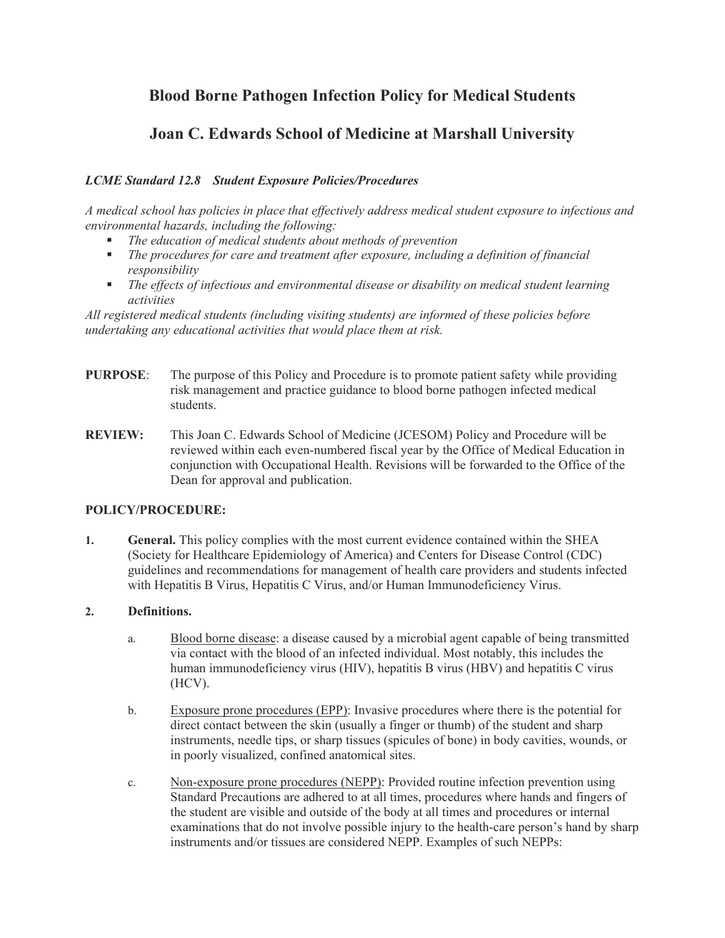# **Blood Borne Pathogen Infection Policy for Medical Students**

# **Joan C. Edwards School of Medicine at Marshall University**

## *LCME Standard 12.8 Student Exposure Policies/Procedures*

*A medical school has policies in place that effectively address medical student exposure to infectious and environmental hazards, including the following:*

- *The education of medical students about methods of prevention*
- *The procedures for care and treatment after exposure, including a definition of financial responsibility*
- *The effects of infectious and environmental disease or disability on medical student learning activities*

*All registered medical students (including visiting students) are informed of these policies before undertaking any educational activities that would place them at risk.*

- **PURPOSE**: The purpose of this Policy and Procedure is to promote patient safety while providing risk management and practice guidance to blood borne pathogen infected medical students.
- **REVIEW:** This Joan C. Edwards School of Medicine (JCESOM) Policy and Procedure will be reviewed within each even-numbered fiscal year by the Office of Medical Education in conjunction with Occupational Health. Revisions will be forwarded to the Office of the Dean for approval and publication.

#### **POLICY/PROCEDURE:**

**1. General.** This policy complies with the most current evidence contained within the SHEA (Society for Healthcare Epidemiology of America) and Centers for Disease Control (CDC) guidelines and recommendations for management of health care providers and students infected with Hepatitis B Virus, Hepatitis C Virus, and/or Human Immunodeficiency Virus.

#### **2. Definitions.**

- a. Blood borne disease: a disease caused by a microbial agent capable of being transmitted via contact with the blood of an infected individual. Most notably, this includes the human immunodeficiency virus (HIV), hepatitis B virus (HBV) and hepatitis C virus (HCV).
- b. Exposure prone procedures (EPP): Invasive procedures where there is the potential for direct contact between the skin (usually a finger or thumb) of the student and sharp instruments, needle tips, or sharp tissues (spicules of bone) in body cavities, wounds, or in poorly visualized, confined anatomical sites.
- c. Non-exposure prone procedures (NEPP): Provided routine infection prevention using Standard Precautions are adhered to at all times, procedures where hands and fingers of the student are visible and outside of the body at all times and procedures or internal examinations that do not involve possible injury to the health-care person's hand by sharp instruments and/or tissues are considered NEPP. Examples of such NEPPs: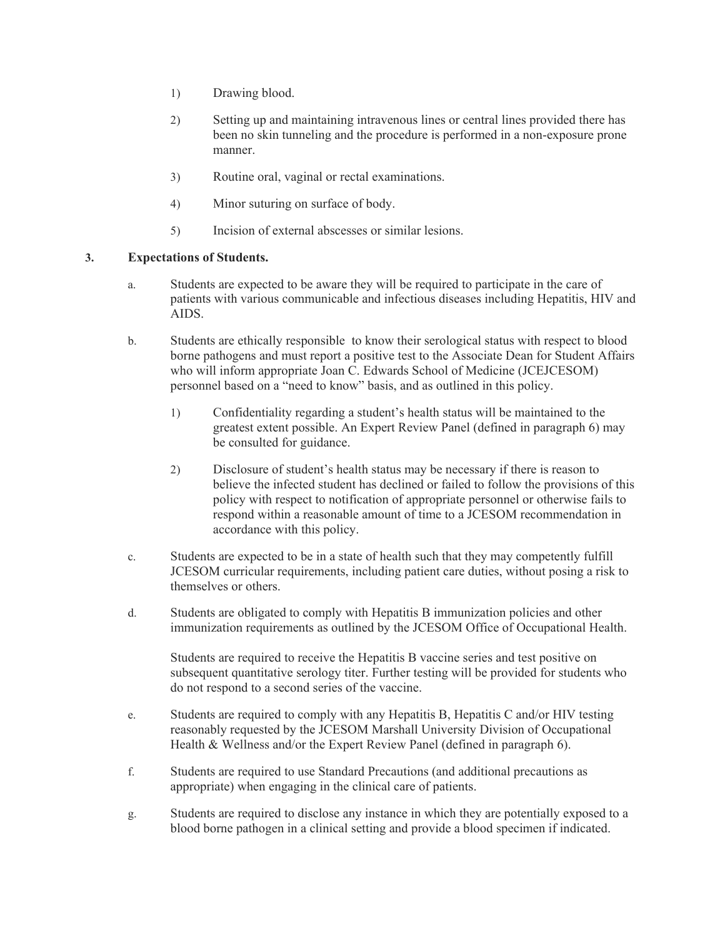- 1) Drawing blood.
- 2) Setting up and maintaining intravenous lines or central lines provided there has been no skin tunneling and the procedure is performed in a non-exposure prone manner.
- 3) Routine oral, vaginal or rectal examinations.
- 4) Minor suturing on surface of body.
- 5) Incision of external abscesses or similar lesions.

### **3. Expectations of Students.**

- a. Students are expected to be aware they will be required to participate in the care of patients with various communicable and infectious diseases including Hepatitis, HIV and AIDS.
- b. Students are ethically responsible to know their serological status with respect to blood borne pathogens and must report a positive test to the Associate Dean for Student Affairs who will inform appropriate Joan C. Edwards School of Medicine (JCEJCESOM) personnel based on a "need to know" basis, and as outlined in this policy.
	- 1) Confidentiality regarding a student's health status will be maintained to the greatest extent possible. An Expert Review Panel (defined in paragraph 6) may be consulted for guidance.
	- 2) Disclosure of student's health status may be necessary if there is reason to believe the infected student has declined or failed to follow the provisions of this policy with respect to notification of appropriate personnel or otherwise fails to respond within a reasonable amount of time to a JCESOM recommendation in accordance with this policy.
- c. Students are expected to be in a state of health such that they may competently fulfill JCESOM curricular requirements, including patient care duties, without posing a risk to themselves or others.
- d. Students are obligated to comply with Hepatitis B immunization policies and other immunization requirements as outlined by the JCESOM Office of Occupational Health.

Students are required to receive the Hepatitis B vaccine series and test positive on subsequent quantitative serology titer. Further testing will be provided for students who do not respond to a second series of the vaccine.

- e. Students are required to comply with any Hepatitis B, Hepatitis C and/or HIV testing reasonably requested by the JCESOM Marshall University Division of Occupational Health & Wellness and/or the Expert Review Panel (defined in paragraph 6).
- f. Students are required to use Standard Precautions (and additional precautions as appropriate) when engaging in the clinical care of patients.
- g. Students are required to disclose any instance in which they are potentially exposed to a blood borne pathogen in a clinical setting and provide a blood specimen if indicated.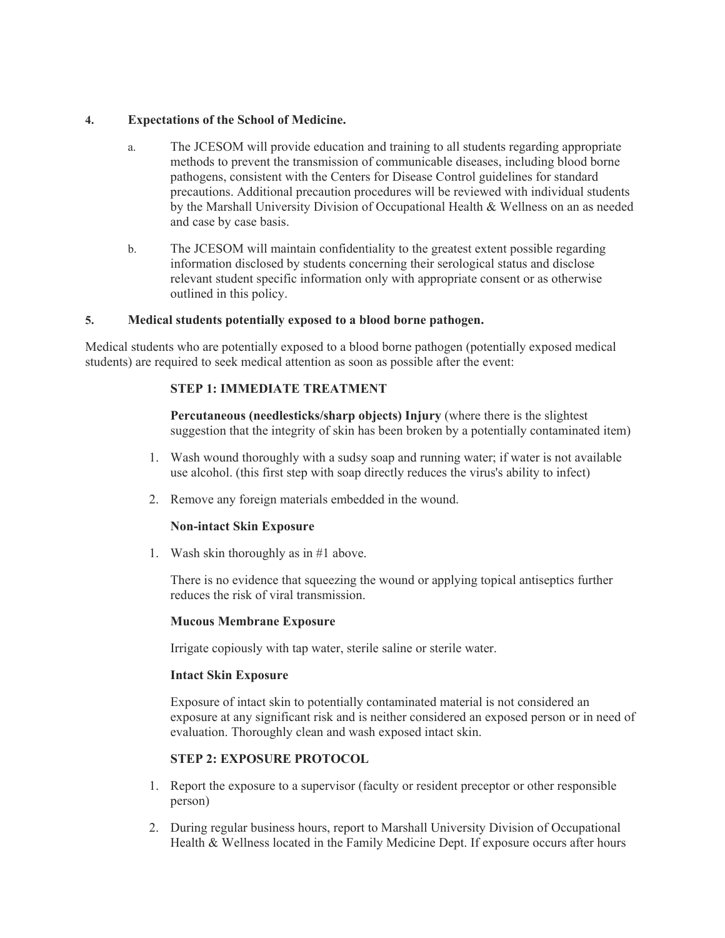#### **4. Expectations of the School of Medicine.**

- a. The JCESOM will provide education and training to all students regarding appropriate methods to prevent the transmission of communicable diseases, including blood borne pathogens, consistent with the Centers for Disease Control guidelines for standard precautions. Additional precaution procedures will be reviewed with individual students by the Marshall University Division of Occupational Health & Wellness on an as needed and case by case basis.
- b. The JCESOM will maintain confidentiality to the greatest extent possible regarding information disclosed by students concerning their serological status and disclose relevant student specific information only with appropriate consent or as otherwise outlined in this policy.

### **5. Medical students potentially exposed to a blood borne pathogen.**

Medical students who are potentially exposed to a blood borne pathogen (potentially exposed medical students) are required to seek medical attention as soon as possible after the event:

### **STEP 1: IMMEDIATE TREATMENT**

**Percutaneous (needlesticks/sharp objects) Injury** (where there is the slightest suggestion that the integrity of skin has been broken by a potentially contaminated item)

- 1. Wash wound thoroughly with a sudsy soap and running water; if water is not available use alcohol. (this first step with soap directly reduces the virus's ability to infect)
- 2. Remove any foreign materials embedded in the wound.

## **Non-intact Skin Exposure**

1. Wash skin thoroughly as in #1 above.

There is no evidence that squeezing the wound or applying topical antiseptics further reduces the risk of viral transmission.

#### **Mucous Membrane Exposure**

Irrigate copiously with tap water, sterile saline or sterile water.

#### **Intact Skin Exposure**

Exposure of intact skin to potentially contaminated material is not considered an exposure at any significant risk and is neither considered an exposed person or in need of evaluation. Thoroughly clean and wash exposed intact skin.

## **STEP 2: EXPOSURE PROTOCOL**

- 1. Report the exposure to a supervisor (faculty or resident preceptor or other responsible person)
- 2. During regular business hours, report to Marshall University Division of Occupational Health & Wellness located in the Family Medicine Dept. If exposure occurs after hours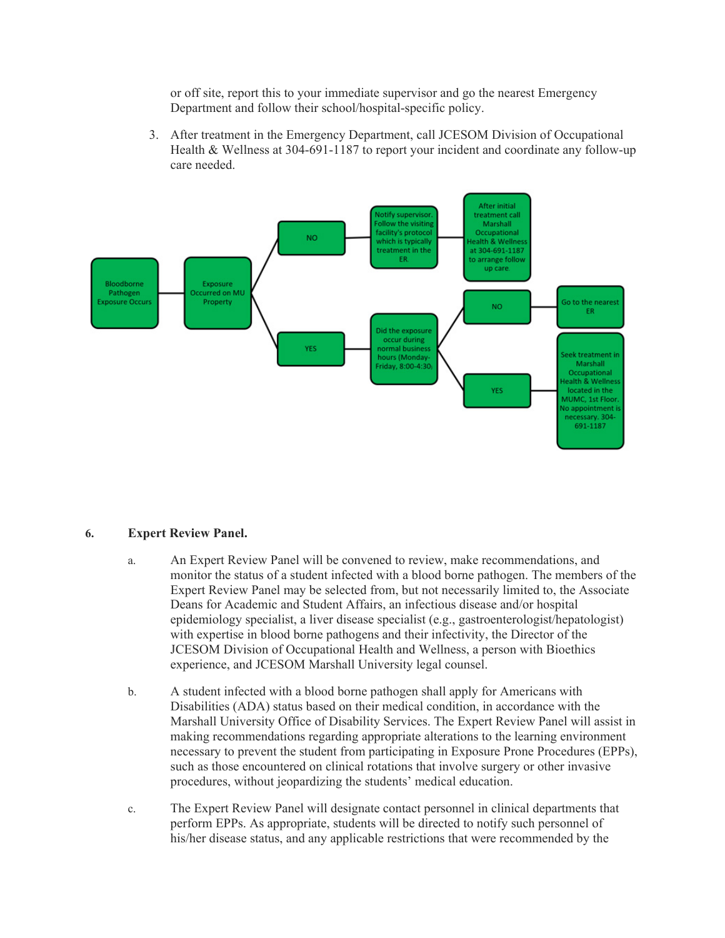or off site, report this to your immediate supervisor and go the nearest Emergency Department and follow their school/hospital-specific policy.

3. After treatment in the Emergency Department, call JCESOM Division of Occupational Health & Wellness at 304-691-1187 to report your incident and coordinate any follow-up care needed.



#### **6. Expert Review Panel.**

- a. An Expert Review Panel will be convened to review, make recommendations, and monitor the status of a student infected with a blood borne pathogen. The members of the Expert Review Panel may be selected from, but not necessarily limited to, the Associate Deans for Academic and Student Affairs, an infectious disease and/or hospital epidemiology specialist, a liver disease specialist (e.g., gastroenterologist/hepatologist) with expertise in blood borne pathogens and their infectivity, the Director of the JCESOM Division of Occupational Health and Wellness, a person with Bioethics experience, and JCESOM Marshall University legal counsel.
- b. A student infected with a blood borne pathogen shall apply for Americans with Disabilities (ADA) status based on their medical condition, in accordance with the Marshall University Office of Disability Services. The Expert Review Panel will assist in making recommendations regarding appropriate alterations to the learning environment necessary to prevent the student from participating in Exposure Prone Procedures (EPPs), such as those encountered on clinical rotations that involve surgery or other invasive procedures, without jeopardizing the students' medical education.
- c. The Expert Review Panel will designate contact personnel in clinical departments that perform EPPs. As appropriate, students will be directed to notify such personnel of his/her disease status, and any applicable restrictions that were recommended by the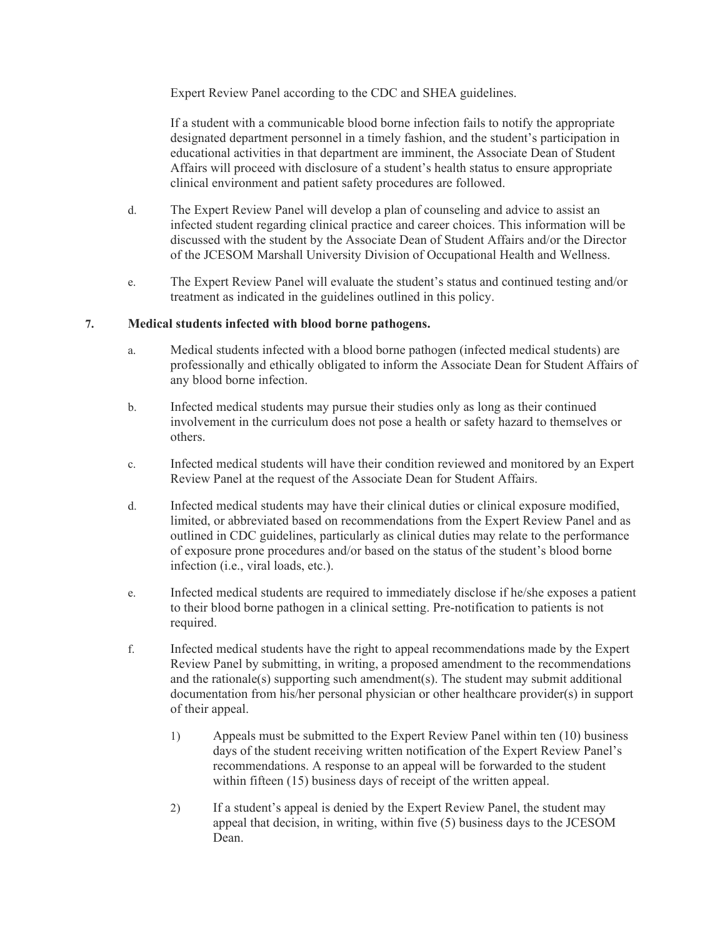Expert Review Panel according to the CDC and SHEA guidelines.

If a student with a communicable blood borne infection fails to notify the appropriate designated department personnel in a timely fashion, and the student's participation in educational activities in that department are imminent, the Associate Dean of Student Affairs will proceed with disclosure of a student's health status to ensure appropriate clinical environment and patient safety procedures are followed.

- d. The Expert Review Panel will develop a plan of counseling and advice to assist an infected student regarding clinical practice and career choices. This information will be discussed with the student by the Associate Dean of Student Affairs and/or the Director of the JCESOM Marshall University Division of Occupational Health and Wellness.
- e. The Expert Review Panel will evaluate the student's status and continued testing and/or treatment as indicated in the guidelines outlined in this policy.

#### **7. Medical students infected with blood borne pathogens.**

- a. Medical students infected with a blood borne pathogen (infected medical students) are professionally and ethically obligated to inform the Associate Dean for Student Affairs of any blood borne infection.
- b. Infected medical students may pursue their studies only as long as their continued involvement in the curriculum does not pose a health or safety hazard to themselves or others.
- c. Infected medical students will have their condition reviewed and monitored by an Expert Review Panel at the request of the Associate Dean for Student Affairs.
- d. Infected medical students may have their clinical duties or clinical exposure modified, limited, or abbreviated based on recommendations from the Expert Review Panel and as outlined in CDC guidelines, particularly as clinical duties may relate to the performance of exposure prone procedures and/or based on the status of the student's blood borne infection (i.e., viral loads, etc.).
- e. Infected medical students are required to immediately disclose if he/she exposes a patient to their blood borne pathogen in a clinical setting. Pre-notification to patients is not required.
- f. Infected medical students have the right to appeal recommendations made by the Expert Review Panel by submitting, in writing, a proposed amendment to the recommendations and the rationale(s) supporting such amendment(s). The student may submit additional documentation from his/her personal physician or other healthcare provider(s) in support of their appeal.
	- 1) Appeals must be submitted to the Expert Review Panel within ten (10) business days of the student receiving written notification of the Expert Review Panel's recommendations. A response to an appeal will be forwarded to the student within fifteen (15) business days of receipt of the written appeal.
	- 2) If a student's appeal is denied by the Expert Review Panel, the student may appeal that decision, in writing, within five (5) business days to the JCESOM Dean.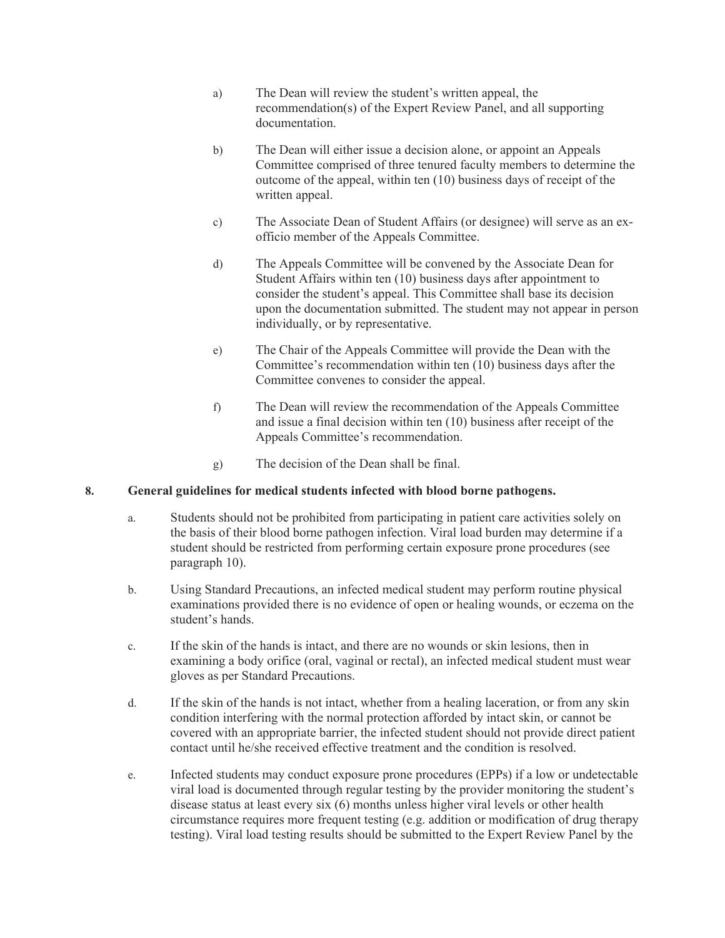- a) The Dean will review the student's written appeal, the recommendation(s) of the Expert Review Panel, and all supporting documentation.
- b) The Dean will either issue a decision alone, or appoint an Appeals Committee comprised of three tenured faculty members to determine the outcome of the appeal, within ten (10) business days of receipt of the written appeal.
- c) The Associate Dean of Student Affairs (or designee) will serve as an exofficio member of the Appeals Committee.
- d) The Appeals Committee will be convened by the Associate Dean for Student Affairs within ten (10) business days after appointment to consider the student's appeal. This Committee shall base its decision upon the documentation submitted. The student may not appear in person individually, or by representative.
- e) The Chair of the Appeals Committee will provide the Dean with the Committee's recommendation within ten (10) business days after the Committee convenes to consider the appeal.
- f) The Dean will review the recommendation of the Appeals Committee and issue a final decision within ten (10) business after receipt of the Appeals Committee's recommendation.
- g) The decision of the Dean shall be final.

#### **8. General guidelines for medical students infected with blood borne pathogens.**

- a. Students should not be prohibited from participating in patient care activities solely on the basis of their blood borne pathogen infection. Viral load burden may determine if a student should be restricted from performing certain exposure prone procedures (see paragraph 10).
- b. Using Standard Precautions, an infected medical student may perform routine physical examinations provided there is no evidence of open or healing wounds, or eczema on the student's hands.
- c. If the skin of the hands is intact, and there are no wounds or skin lesions, then in examining a body orifice (oral, vaginal or rectal), an infected medical student must wear gloves as per Standard Precautions.
- d. If the skin of the hands is not intact, whether from a healing laceration, or from any skin condition interfering with the normal protection afforded by intact skin, or cannot be covered with an appropriate barrier, the infected student should not provide direct patient contact until he/she received effective treatment and the condition is resolved.
- e. Infected students may conduct exposure prone procedures (EPPs) if a low or undetectable viral load is documented through regular testing by the provider monitoring the student's disease status at least every six (6) months unless higher viral levels or other health circumstance requires more frequent testing (e.g. addition or modification of drug therapy testing). Viral load testing results should be submitted to the Expert Review Panel by the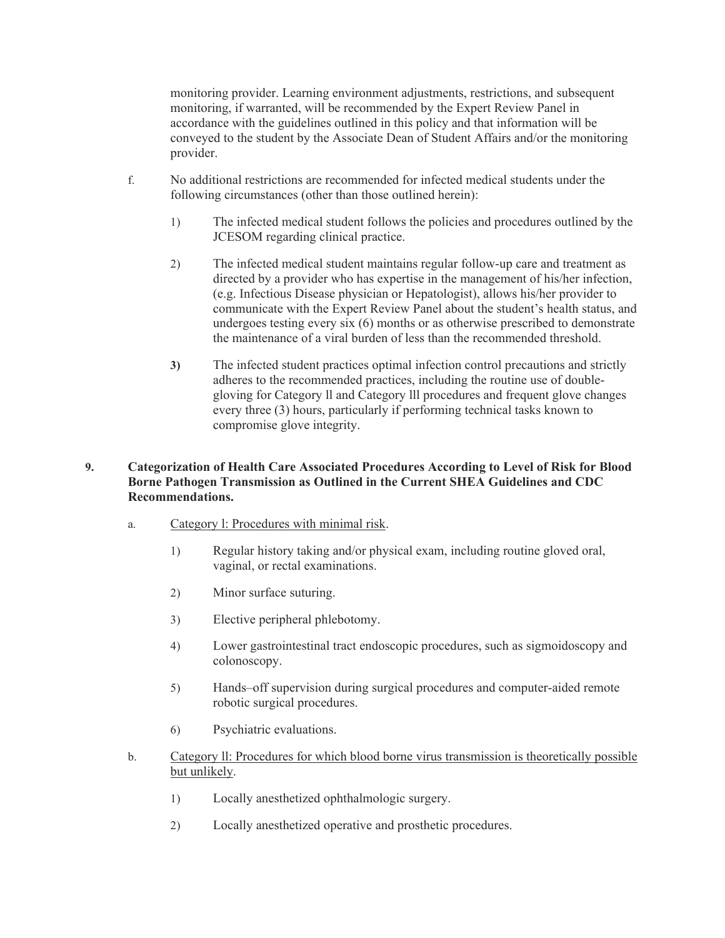monitoring provider. Learning environment adjustments, restrictions, and subsequent monitoring, if warranted, will be recommended by the Expert Review Panel in accordance with the guidelines outlined in this policy and that information will be conveyed to the student by the Associate Dean of Student Affairs and/or the monitoring provider.

- f. No additional restrictions are recommended for infected medical students under the following circumstances (other than those outlined herein):
	- 1) The infected medical student follows the policies and procedures outlined by the JCESOM regarding clinical practice.
	- 2) The infected medical student maintains regular follow-up care and treatment as directed by a provider who has expertise in the management of his/her infection, (e.g. Infectious Disease physician or Hepatologist), allows his/her provider to communicate with the Expert Review Panel about the student's health status, and undergoes testing every six (6) months or as otherwise prescribed to demonstrate the maintenance of a viral burden of less than the recommended threshold.
	- **3)** The infected student practices optimal infection control precautions and strictly adheres to the recommended practices, including the routine use of doublegloving for Category ll and Category lll procedures and frequent glove changes every three (3) hours, particularly if performing technical tasks known to compromise glove integrity.

### **9. Categorization of Health Care Associated Procedures According to Level of Risk for Blood Borne Pathogen Transmission as Outlined in the Current SHEA Guidelines and CDC Recommendations.**

- a. Category l: Procedures with minimal risk.
	- 1) Regular history taking and/or physical exam, including routine gloved oral, vaginal, or rectal examinations.
	- 2) Minor surface suturing.
	- 3) Elective peripheral phlebotomy.
	- 4) Lower gastrointestinal tract endoscopic procedures, such as sigmoidoscopy and colonoscopy.
	- 5) Hands–off supervision during surgical procedures and computer-aided remote robotic surgical procedures.
	- 6) Psychiatric evaluations.
- b. Category ll: Procedures for which blood borne virus transmission is theoretically possible but unlikely.
	- 1) Locally anesthetized ophthalmologic surgery.
	- 2) Locally anesthetized operative and prosthetic procedures.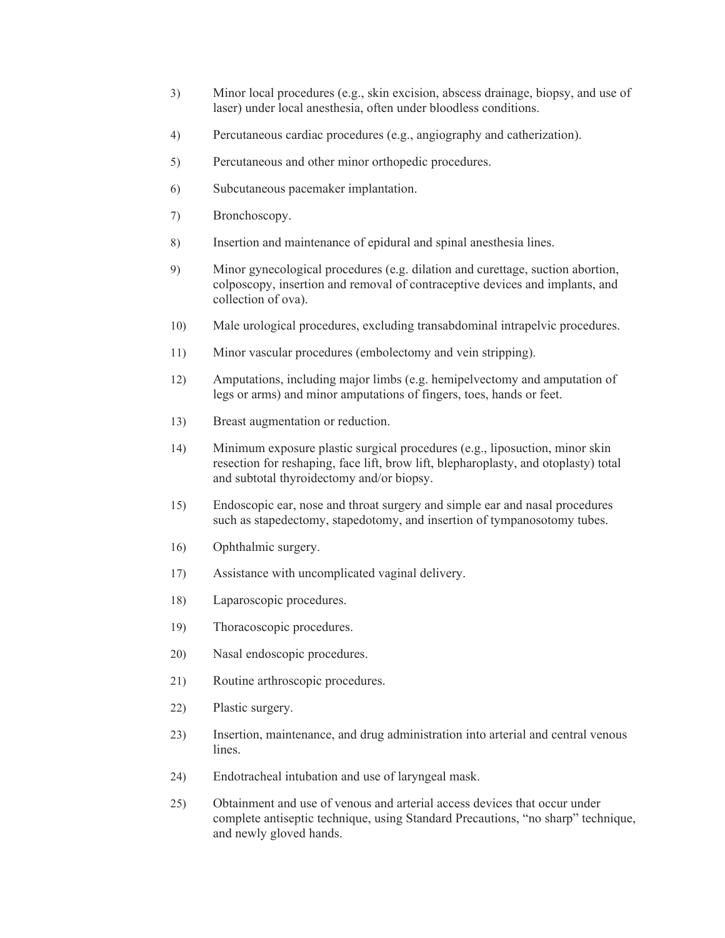- 3) Minor local procedures (e.g., skin excision, abscess drainage, biopsy, and use of laser) under local anesthesia, often under bloodless conditions.
- 4) Percutaneous cardiac procedures (e.g., angiography and catherization).
- 5) Percutaneous and other minor orthopedic procedures.
- 6) Subcutaneous pacemaker implantation.
- 7) Bronchoscopy.
- 8) Insertion and maintenance of epidural and spinal anesthesia lines.
- 9) Minor gynecological procedures (e.g. dilation and curettage, suction abortion, colposcopy, insertion and removal of contraceptive devices and implants, and collection of ova).
- 10) Male urological procedures, excluding transabdominal intrapelvic procedures.
- 11) Minor vascular procedures (embolectomy and vein stripping).
- 12) Amputations, including major limbs (e.g. hemipelvectomy and amputation of legs or arms) and minor amputations of fingers, toes, hands or feet.
- 13) Breast augmentation or reduction.
- 14) Minimum exposure plastic surgical procedures (e.g., liposuction, minor skin resection for reshaping, face lift, brow lift, blepharoplasty, and otoplasty) total and subtotal thyroidectomy and/or biopsy.
- 15) Endoscopic ear, nose and throat surgery and simple ear and nasal procedures such as stapedectomy, stapedotomy, and insertion of tympanosotomy tubes.
- 16) Ophthalmic surgery.
- 17) Assistance with uncomplicated vaginal delivery.
- 18) Laparoscopic procedures.
- 19) Thoracoscopic procedures.
- 20) Nasal endoscopic procedures.
- 21) Routine arthroscopic procedures.
- 22) Plastic surgery.
- 23) Insertion, maintenance, and drug administration into arterial and central venous lines.
- 24) Endotracheal intubation and use of laryngeal mask.
- 25) Obtainment and use of venous and arterial access devices that occur under complete antiseptic technique, using Standard Precautions, "no sharp" technique, and newly gloved hands.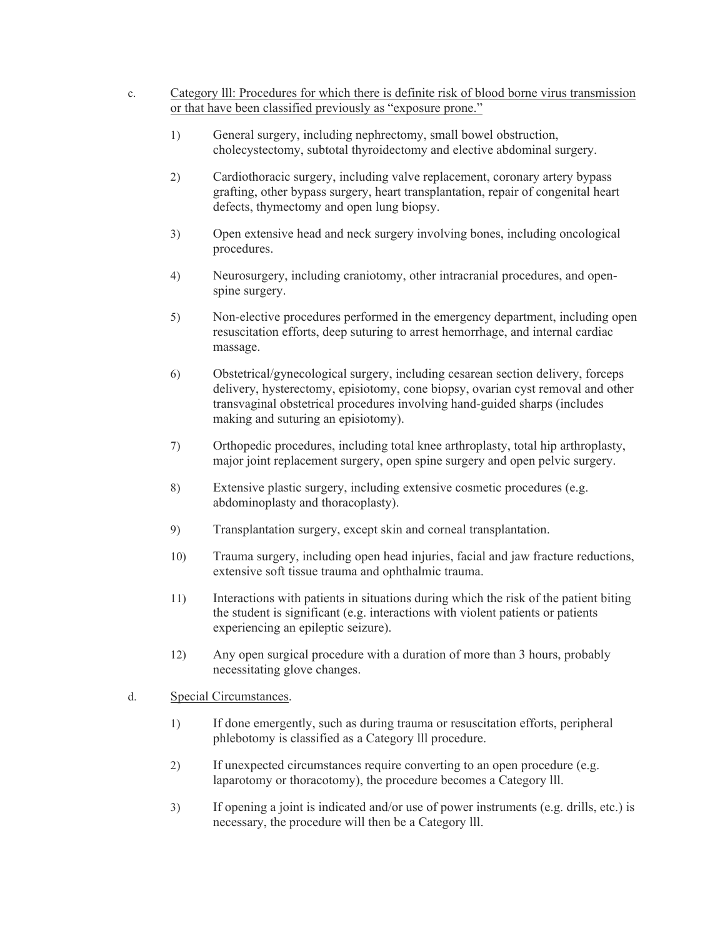- c. Category lll: Procedures for which there is definite risk of blood borne virus transmission or that have been classified previously as "exposure prone."
	- 1) General surgery, including nephrectomy, small bowel obstruction, cholecystectomy, subtotal thyroidectomy and elective abdominal surgery.
	- 2) Cardiothoracic surgery, including valve replacement, coronary artery bypass grafting, other bypass surgery, heart transplantation, repair of congenital heart defects, thymectomy and open lung biopsy.
	- 3) Open extensive head and neck surgery involving bones, including oncological procedures.
	- 4) Neurosurgery, including craniotomy, other intracranial procedures, and openspine surgery.
	- 5) Non-elective procedures performed in the emergency department, including open resuscitation efforts, deep suturing to arrest hemorrhage, and internal cardiac massage.
	- 6) Obstetrical/gynecological surgery, including cesarean section delivery, forceps delivery, hysterectomy, episiotomy, cone biopsy, ovarian cyst removal and other transvaginal obstetrical procedures involving hand-guided sharps (includes making and suturing an episiotomy).
	- 7) Orthopedic procedures, including total knee arthroplasty, total hip arthroplasty, major joint replacement surgery, open spine surgery and open pelvic surgery.
	- 8) Extensive plastic surgery, including extensive cosmetic procedures (e.g. abdominoplasty and thoracoplasty).
	- 9) Transplantation surgery, except skin and corneal transplantation.
	- 10) Trauma surgery, including open head injuries, facial and jaw fracture reductions, extensive soft tissue trauma and ophthalmic trauma.
	- 11) Interactions with patients in situations during which the risk of the patient biting the student is significant (e.g. interactions with violent patients or patients experiencing an epileptic seizure).
	- 12) Any open surgical procedure with a duration of more than 3 hours, probably necessitating glove changes.
- d. Special Circumstances.
	- 1) If done emergently, such as during trauma or resuscitation efforts, peripheral phlebotomy is classified as a Category lll procedure.
	- 2) If unexpected circumstances require converting to an open procedure (e.g. laparotomy or thoracotomy), the procedure becomes a Category lll.
	- 3) If opening a joint is indicated and/or use of power instruments (e.g. drills, etc.) is necessary, the procedure will then be a Category lll.